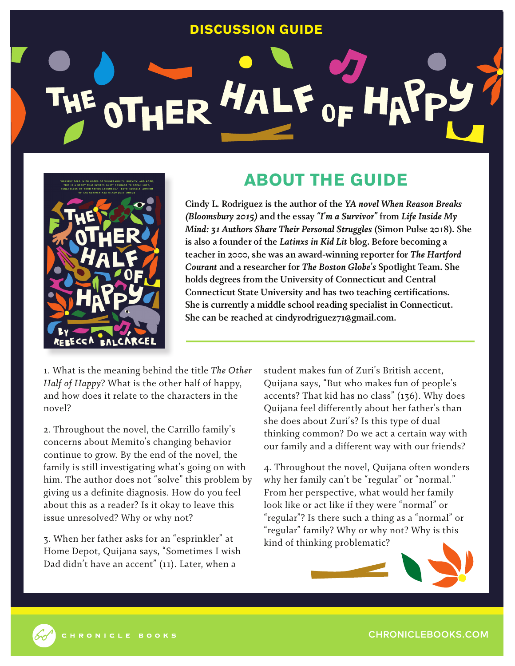## **DISCUSSION GUIDE**

## ER HALF O



## **ABOUT THE GUIDE**

**Cindy L. Rodriguez is the author of the** *YA novel When Reason Breaks (Bloomsbury 2015)* **and the essay** *"I'm a Survivor"* **from** *Life Inside My Mind: 31 Authors Share Their Personal Struggles* **(Simon Pulse 2018). She is also a founder of the** *Latinxs in Kid Lit* **blog. Before becoming a teacher in 2000, she was an award-winning reporter for** *The Hartford Courant* **and a researcher for** *The Boston Globe's* **Spotlight Team. She holds degrees from the University of Connecticut and Central Connecticut State University and has two teaching certifications. She is currently a middle school reading specialist in Connecticut. She can be reached at cindyrodriguez71@gmail.com.**

1. What is the meaning behind the title *The Other Half of Happy*? What is the other half of happy, and how does it relate to the characters in the novel?

2. Throughout the novel, the Carrillo family's concerns about Memito's changing behavior continue to grow. By the end of the novel, the family is still investigating what's going on with him. The author does not "solve" this problem by giving us a definite diagnosis. How do you feel about this as a reader? Is it okay to leave this issue unresolved? Why or why not?

3. When her father asks for an "esprinkler" at Home Depot, Quijana says, "Sometimes I wish Dad didn't have an accent" (11). Later, when a

student makes fun of Zuri's British accent, Quijana says, "But who makes fun of people's accents? That kid has no class" (136). Why does Quijana feel differently about her father's than she does about Zuri's? Is this type of dual thinking common? Do we act a certain way with our family and a different way with our friends?

4. Throughout the novel, Quijana often wonders why her family can't be "regular" or "normal." From her perspective, what would her family look like or act like if they were "normal" or "regular"? Is there such a thing as a "normal" or "regular" family? Why or why not? Why is this kind of thinking problematic?





CHRONICLEBOOKS.COM